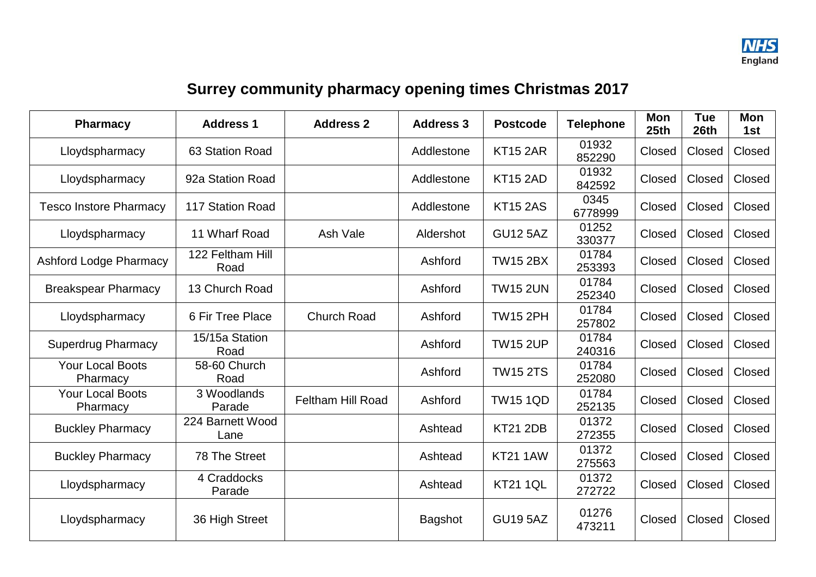

## **Surrey community pharmacy opening times Christmas 2017**

| <b>Pharmacy</b>                     | <b>Address 1</b>         | <b>Address 2</b>         | <b>Address 3</b> | <b>Postcode</b> | <b>Telephone</b> | Mon<br>25th | <b>Tue</b><br>26th | <b>Mon</b><br>1st |
|-------------------------------------|--------------------------|--------------------------|------------------|-----------------|------------------|-------------|--------------------|-------------------|
| Lloydspharmacy                      | 63 Station Road          |                          | Addlestone       | <b>KT15 2AR</b> | 01932<br>852290  | Closed      | Closed             | Closed            |
| Lloydspharmacy                      | 92a Station Road         |                          | Addlestone       | <b>KT15 2AD</b> | 01932<br>842592  | Closed      | Closed             | Closed            |
| <b>Tesco Instore Pharmacy</b>       | 117 Station Road         |                          | Addlestone       | <b>KT15 2AS</b> | 0345<br>6778999  | Closed      | Closed             | Closed            |
| Lloydspharmacy                      | 11 Wharf Road            | Ash Vale                 | Aldershot        | <b>GU12 5AZ</b> | 01252<br>330377  | Closed      | Closed             | Closed            |
| <b>Ashford Lodge Pharmacy</b>       | 122 Feltham Hill<br>Road |                          | Ashford          | <b>TW15 2BX</b> | 01784<br>253393  | Closed      | Closed             | Closed            |
| <b>Breakspear Pharmacy</b>          | 13 Church Road           |                          | Ashford          | <b>TW15 2UN</b> | 01784<br>252340  | Closed      | Closed             | Closed            |
| Lloydspharmacy                      | 6 Fir Tree Place         | <b>Church Road</b>       | Ashford          | <b>TW15 2PH</b> | 01784<br>257802  | Closed      | Closed             | Closed            |
| <b>Superdrug Pharmacy</b>           | 15/15a Station<br>Road   |                          | Ashford          | <b>TW15 2UP</b> | 01784<br>240316  | Closed      | Closed             | Closed            |
| <b>Your Local Boots</b><br>Pharmacy | 58-60 Church<br>Road     |                          | Ashford          | <b>TW15 2TS</b> | 01784<br>252080  | Closed      | Closed             | Closed            |
| <b>Your Local Boots</b><br>Pharmacy | 3 Woodlands<br>Parade    | <b>Feltham Hill Road</b> | Ashford          | <b>TW15 1QD</b> | 01784<br>252135  | Closed      | Closed             | Closed            |
| <b>Buckley Pharmacy</b>             | 224 Barnett Wood<br>Lane |                          | Ashtead          | <b>KT21 2DB</b> | 01372<br>272355  | Closed      | Closed             | Closed            |
| <b>Buckley Pharmacy</b>             | 78 The Street            |                          | Ashtead          | <b>KT21 1AW</b> | 01372<br>275563  | Closed      | Closed             | Closed            |
| Lloydspharmacy                      | 4 Craddocks<br>Parade    |                          | Ashtead          | <b>KT21 1QL</b> | 01372<br>272722  | Closed      | Closed             | Closed            |
| Lloydspharmacy                      | 36 High Street           |                          | <b>Bagshot</b>   | <b>GU19 5AZ</b> | 01276<br>473211  | Closed      | Closed             | Closed            |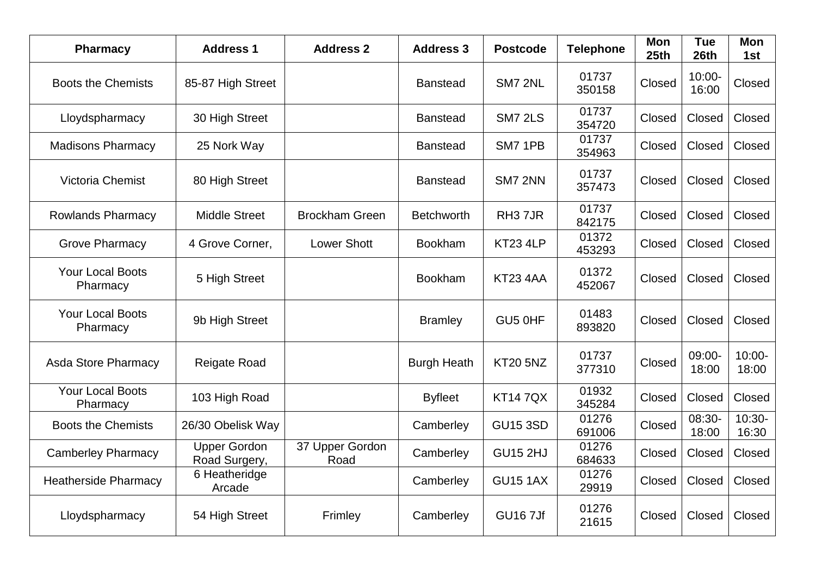| <b>Pharmacy</b>                     | <b>Address 1</b>                     | <b>Address 2</b>        | <b>Address 3</b>   | <b>Postcode</b>     | <b>Telephone</b> | <b>Mon</b><br>25th | <b>Tue</b><br>26th | Mon<br>1st         |
|-------------------------------------|--------------------------------------|-------------------------|--------------------|---------------------|------------------|--------------------|--------------------|--------------------|
| <b>Boots the Chemists</b>           | 85-87 High Street                    |                         | <b>Banstead</b>    | SM7 2NL             | 01737<br>350158  | Closed             | $10:00 -$<br>16:00 | Closed             |
| Lloydspharmacy                      | 30 High Street                       |                         | <b>Banstead</b>    | <b>SM7 2LS</b>      | 01737<br>354720  | Closed             | Closed             | Closed             |
| <b>Madisons Pharmacy</b>            | 25 Nork Way                          |                         | <b>Banstead</b>    | SM7 1PB             | 01737<br>354963  | Closed             | Closed             | Closed             |
| Victoria Chemist                    | 80 High Street                       |                         | <b>Banstead</b>    | <b>SM7 2NN</b>      | 01737<br>357473  | Closed             | Closed             | Closed             |
| <b>Rowlands Pharmacy</b>            | <b>Middle Street</b>                 | <b>Brockham Green</b>   | <b>Betchworth</b>  | RH <sub>3</sub> 7JR | 01737<br>842175  | Closed             | Closed             | Closed             |
| <b>Grove Pharmacy</b>               | 4 Grove Corner,                      | <b>Lower Shott</b>      | <b>Bookham</b>     | KT23 4LP            | 01372<br>453293  | Closed             | Closed             | Closed             |
| <b>Your Local Boots</b><br>Pharmacy | 5 High Street                        |                         | <b>Bookham</b>     | KT234AA             | 01372<br>452067  | Closed             | Closed             | Closed             |
| <b>Your Local Boots</b><br>Pharmacy | 9b High Street                       |                         | <b>Bramley</b>     | GU5 0HF             | 01483<br>893820  | Closed             | Closed             | Closed             |
| <b>Asda Store Pharmacy</b>          | <b>Reigate Road</b>                  |                         | <b>Burgh Heath</b> | <b>KT20 5NZ</b>     | 01737<br>377310  | Closed             | 09:00-<br>18:00    | $10:00 -$<br>18:00 |
| <b>Your Local Boots</b><br>Pharmacy | 103 High Road                        |                         | <b>Byfleet</b>     | <b>KT147QX</b>      | 01932<br>345284  | Closed             | Closed             | Closed             |
| <b>Boots the Chemists</b>           | 26/30 Obelisk Way                    |                         | Camberley          | <b>GU15 3SD</b>     | 01276<br>691006  | Closed             | 08:30-<br>18:00    | $10:30-$<br>16:30  |
| <b>Camberley Pharmacy</b>           | <b>Upper Gordon</b><br>Road Surgery, | 37 Upper Gordon<br>Road | Camberley          | <b>GU15 2HJ</b>     | 01276<br>684633  | Closed             | Closed             | Closed             |
| <b>Heatherside Pharmacy</b>         | 6 Heatheridge<br>Arcade              |                         | Camberley          | <b>GU15 1AX</b>     | 01276<br>29919   | Closed             | Closed             | Closed             |
| Lloydspharmacy                      | 54 High Street                       | Frimley                 | Camberley          | <b>GU167Jf</b>      | 01276<br>21615   | Closed             | Closed             | Closed             |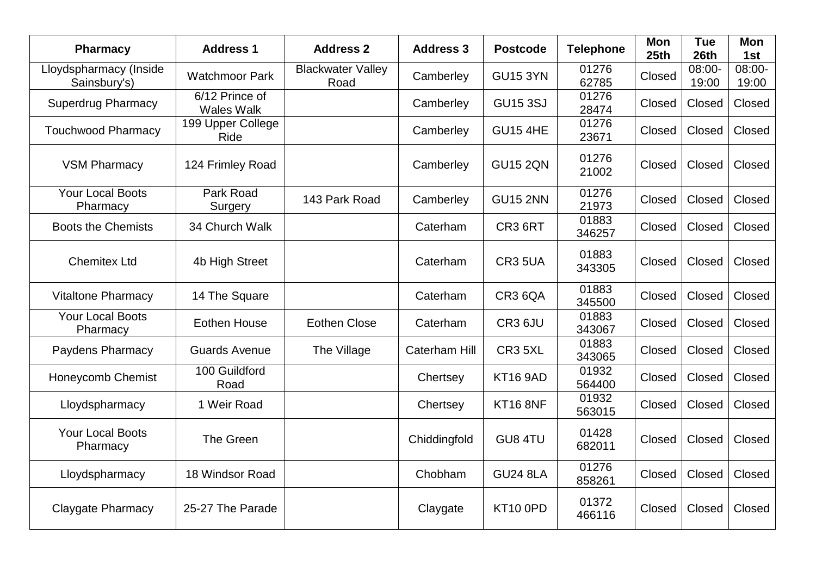| <b>Pharmacy</b>                        | <b>Address 1</b>                    | <b>Address 2</b>                 | <b>Address 3</b>     | <b>Postcode</b> | <b>Telephone</b> | Mon<br>25 <sub>th</sub> | <b>Tue</b><br>26th | <b>Mon</b><br>1st |
|----------------------------------------|-------------------------------------|----------------------------------|----------------------|-----------------|------------------|-------------------------|--------------------|-------------------|
| Lloydspharmacy (Inside<br>Sainsbury's) | <b>Watchmoor Park</b>               | <b>Blackwater Valley</b><br>Road | Camberley            | <b>GU15 3YN</b> | 01276<br>62785   | Closed                  | 08:00-<br>19:00    | 08:00-<br>19:00   |
| <b>Superdrug Pharmacy</b>              | 6/12 Prince of<br><b>Wales Walk</b> |                                  | Camberley            | <b>GU15 3SJ</b> | 01276<br>28474   | Closed                  | Closed             | Closed            |
| <b>Touchwood Pharmacy</b>              | 199 Upper College<br>Ride           |                                  | Camberley            | <b>GU15 4HE</b> | 01276<br>23671   | Closed                  | Closed             | Closed            |
| <b>VSM Pharmacy</b>                    | 124 Frimley Road                    |                                  | Camberley            | <b>GU15 2QN</b> | 01276<br>21002   | Closed                  | Closed             | Closed            |
| <b>Your Local Boots</b><br>Pharmacy    | Park Road<br>Surgery                | 143 Park Road                    | Camberley            | <b>GU15 2NN</b> | 01276<br>21973   | Closed                  | Closed             | Closed            |
| <b>Boots the Chemists</b>              | 34 Church Walk                      |                                  | Caterham             | CR3 6RT         | 01883<br>346257  | Closed                  | Closed             | Closed            |
| <b>Chemitex Ltd</b>                    | 4b High Street                      |                                  | Caterham             | <b>CR3 5UA</b>  | 01883<br>343305  | Closed                  | Closed             | Closed            |
| <b>Vitaltone Pharmacy</b>              | 14 The Square                       |                                  | Caterham             | CR3 6QA         | 01883<br>345500  | Closed                  | Closed             | Closed            |
| <b>Your Local Boots</b><br>Pharmacy    | <b>Eothen House</b>                 | <b>Eothen Close</b>              | Caterham             | CR3 6JU         | 01883<br>343067  | Closed                  | Closed             | Closed            |
| Paydens Pharmacy                       | <b>Guards Avenue</b>                | The Village                      | <b>Caterham Hill</b> | CR3 5XL         | 01883<br>343065  | Closed                  | Closed             | Closed            |
| Honeycomb Chemist                      | 100 Guildford<br>Road               |                                  | Chertsey             | <b>KT16 9AD</b> | 01932<br>564400  | Closed                  | Closed             | Closed            |
| Lloydspharmacy                         | 1 Weir Road                         |                                  | Chertsey             | <b>KT16 8NF</b> | 01932<br>563015  | Closed                  | Closed             | Closed            |
| <b>Your Local Boots</b><br>Pharmacy    | The Green                           |                                  | Chiddingfold         | GU8 4TU         | 01428<br>682011  | Closed                  | Closed             | Closed            |
| Lloydspharmacy                         | 18 Windsor Road                     |                                  | Chobham              | <b>GU24 8LA</b> | 01276<br>858261  | Closed                  | Closed             | Closed            |
| Claygate Pharmacy                      | 25-27 The Parade                    |                                  | Claygate             | <b>KT10 0PD</b> | 01372<br>466116  | Closed                  | Closed             | Closed            |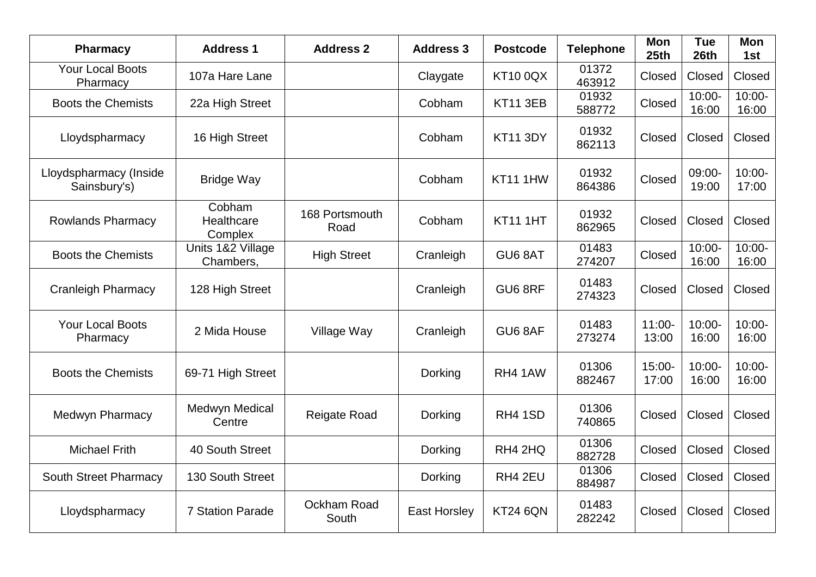| <b>Pharmacy</b>                        | <b>Address 1</b>                | <b>Address 2</b>       | <b>Address 3</b>    | <b>Postcode</b> | <b>Telephone</b> | <b>Mon</b><br>25th | <b>Tue</b><br>26th | Mon<br>1st         |
|----------------------------------------|---------------------------------|------------------------|---------------------|-----------------|------------------|--------------------|--------------------|--------------------|
| <b>Your Local Boots</b><br>Pharmacy    | 107a Hare Lane                  |                        | Claygate            | <b>KT10 0QX</b> | 01372<br>463912  | Closed             | Closed             | Closed             |
| <b>Boots the Chemists</b>              | 22a High Street                 |                        | Cobham              | <b>KT11 3EB</b> | 01932<br>588772  | Closed             | $10:00 -$<br>16:00 | $10:00 -$<br>16:00 |
| Lloydspharmacy                         | 16 High Street                  |                        | Cobham              | <b>KT11 3DY</b> | 01932<br>862113  | Closed             | Closed             | Closed             |
| Lloydspharmacy (Inside<br>Sainsbury's) | <b>Bridge Way</b>               |                        | Cobham              | KT11 1HW        | 01932<br>864386  | Closed             | 09:00-<br>19:00    | $10:00 -$<br>17:00 |
| <b>Rowlands Pharmacy</b>               | Cobham<br>Healthcare<br>Complex | 168 Portsmouth<br>Road | Cobham              | <b>KT11 1HT</b> | 01932<br>862965  | Closed             | Closed             | Closed             |
| <b>Boots the Chemists</b>              | Units 1&2 Village<br>Chambers,  | <b>High Street</b>     | Cranleigh           | GU6 8AT         | 01483<br>274207  | Closed             | $10:00 -$<br>16:00 | $10:00 -$<br>16:00 |
| <b>Cranleigh Pharmacy</b>              | 128 High Street                 |                        | Cranleigh           | GU6 8RF         | 01483<br>274323  | Closed             | Closed             | Closed             |
| <b>Your Local Boots</b><br>Pharmacy    | 2 Mida House                    | Village Way            | Cranleigh           | GU6 8AF         | 01483<br>273274  | $11:00 -$<br>13:00 | $10:00 -$<br>16:00 | $10:00 -$<br>16:00 |
| <b>Boots the Chemists</b>              | 69-71 High Street               |                        | Dorking             | RH4 1AW         | 01306<br>882467  | 15:00-<br>17:00    | $10:00 -$<br>16:00 | $10:00 -$<br>16:00 |
| Medwyn Pharmacy                        | Medwyn Medical<br>Centre        | <b>Reigate Road</b>    | Dorking             | RH4 1SD         | 01306<br>740865  | Closed             | Closed             | Closed             |
| <b>Michael Frith</b>                   | 40 South Street                 |                        | Dorking             | RH4 2HQ         | 01306<br>882728  | Closed             | Closed             | Closed             |
| <b>South Street Pharmacy</b>           | 130 South Street                |                        | Dorking             | RH4 2EU         | 01306<br>884987  | Closed             | Closed             | Closed             |
| Lloydspharmacy                         | <b>7 Station Parade</b>         | Ockham Road<br>South   | <b>East Horsley</b> | <b>KT24 6QN</b> | 01483<br>282242  | Closed             | Closed             | Closed             |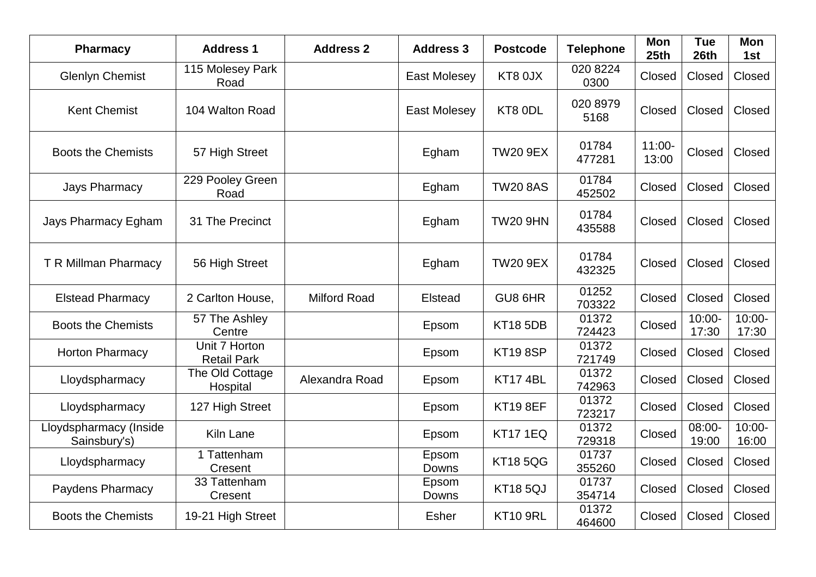| <b>Pharmacy</b>                        | <b>Address 1</b>                    | <b>Address 2</b>    | <b>Address 3</b>    | <b>Postcode</b> | <b>Telephone</b> | <b>Mon</b><br>25 <sub>th</sub> | <b>Tue</b><br>26th | Mon<br>1st         |
|----------------------------------------|-------------------------------------|---------------------|---------------------|-----------------|------------------|--------------------------------|--------------------|--------------------|
| <b>Glenlyn Chemist</b>                 | 115 Molesey Park<br>Road            |                     | <b>East Molesey</b> | KT8 0JX         | 020 8224<br>0300 | Closed                         | Closed             | Closed             |
| <b>Kent Chemist</b>                    | 104 Walton Road                     |                     | <b>East Molesey</b> | KT8 ODL         | 020 8979<br>5168 | Closed                         | Closed             | Closed             |
| <b>Boots the Chemists</b>              | 57 High Street                      |                     | Egham               | <b>TW20 9EX</b> | 01784<br>477281  | $11:00 -$<br>13:00             | Closed             | Closed             |
| <b>Jays Pharmacy</b>                   | 229 Pooley Green<br>Road            |                     | Egham               | <b>TW20 8AS</b> | 01784<br>452502  | Closed                         | Closed             | Closed             |
| Jays Pharmacy Egham                    | 31 The Precinct                     |                     | Egham               | <b>TW20 9HN</b> | 01784<br>435588  | Closed                         | Closed             | Closed             |
| T R Millman Pharmacy                   | 56 High Street                      |                     | Egham               | <b>TW20 9EX</b> | 01784<br>432325  | Closed                         | Closed             | Closed             |
| <b>Elstead Pharmacy</b>                | 2 Carlton House,                    | <b>Milford Road</b> | Elstead             | GU8 6HR         | 01252<br>703322  | Closed                         | Closed             | Closed             |
| <b>Boots the Chemists</b>              | 57 The Ashley<br>Centre             |                     | Epsom               | <b>KT18 5DB</b> | 01372<br>724423  | Closed                         | $10:00 -$<br>17:30 | $10:00 -$<br>17:30 |
| <b>Horton Pharmacy</b>                 | Unit 7 Horton<br><b>Retail Park</b> |                     | Epsom               | <b>KT19 8SP</b> | 01372<br>721749  | Closed                         | Closed             | Closed             |
| Lloydspharmacy                         | The Old Cottage<br>Hospital         | Alexandra Road      | Epsom               | <b>KT17 4BL</b> | 01372<br>742963  | Closed                         | Closed             | Closed             |
| Lloydspharmacy                         | 127 High Street                     |                     | Epsom               | <b>KT19 8EF</b> | 01372<br>723217  | Closed                         | Closed             | Closed             |
| Lloydspharmacy (Inside<br>Sainsbury's) | Kiln Lane                           |                     | Epsom               | <b>KT17 1EQ</b> | 01372<br>729318  | Closed                         | 08:00-<br>19:00    | $10:00 -$<br>16:00 |
| Lloydspharmacy                         | 1 Tattenham<br>Cresent              |                     | Epsom<br>Downs      | <b>KT185QG</b>  | 01737<br>355260  | Closed                         | Closed             | Closed             |
| Paydens Pharmacy                       | 33 Tattenham<br>Cresent             |                     | Epsom<br>Downs      | <b>KT185QJ</b>  | 01737<br>354714  | Closed                         | Closed             | Closed             |
| <b>Boots the Chemists</b>              | 19-21 High Street                   |                     | <b>Esher</b>        | <b>KT10 9RL</b> | 01372<br>464600  | Closed                         | Closed             | Closed             |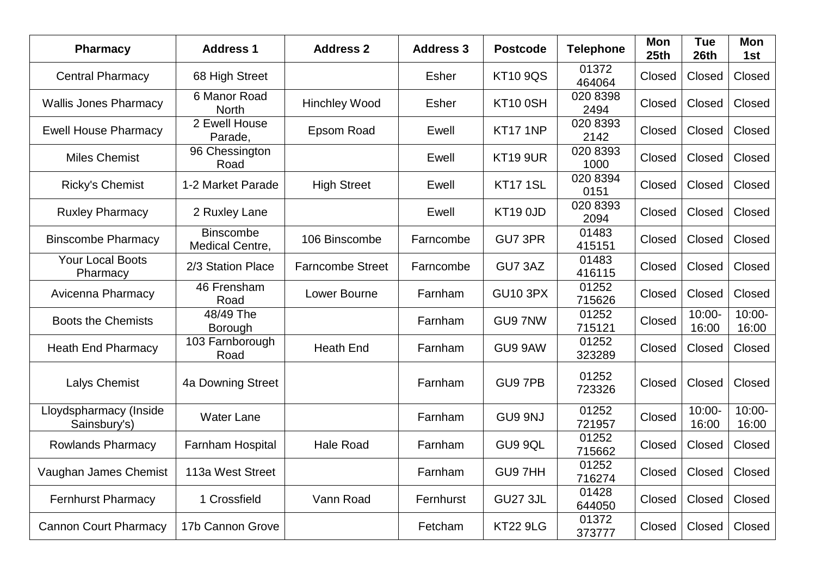| <b>Pharmacy</b>                        | <b>Address 1</b>                    | <b>Address 2</b>        | <b>Address 3</b> | <b>Postcode</b>      | <b>Telephone</b> | Mon<br>25 <sub>th</sub> | <b>Tue</b><br>26th | <b>Mon</b><br>1st  |
|----------------------------------------|-------------------------------------|-------------------------|------------------|----------------------|------------------|-------------------------|--------------------|--------------------|
| <b>Central Pharmacy</b>                | 68 High Street                      |                         | Esher            | <b>KT10 9QS</b>      | 01372<br>464064  | Closed                  | Closed             | Closed             |
| <b>Wallis Jones Pharmacy</b>           | 6 Manor Road<br><b>North</b>        | <b>Hinchley Wood</b>    | <b>Esher</b>     | <b>KT10 0SH</b>      | 020 8398<br>2494 | Closed                  | Closed             | Closed             |
| <b>Ewell House Pharmacy</b>            | 2 Ewell House<br>Parade,            | Epsom Road              | Ewell            | <b>KT17 1NP</b>      | 020 8393<br>2142 | Closed                  | Closed             | Closed             |
| <b>Miles Chemist</b>                   | 96 Chessington<br>Road              |                         | Ewell            | <b>KT19 9UR</b>      | 020 8393<br>1000 | Closed                  | Closed             | Closed             |
| <b>Ricky's Chemist</b>                 | 1-2 Market Parade                   | <b>High Street</b>      | Ewell            | <b>KT17 1SL</b>      | 020 8394<br>0151 | Closed                  | Closed             | Closed             |
| <b>Ruxley Pharmacy</b>                 | 2 Ruxley Lane                       |                         | Ewell            | KT <sub>19</sub> OJD | 020 8393<br>2094 | Closed                  | Closed             | Closed             |
| <b>Binscombe Pharmacy</b>              | <b>Binscombe</b><br>Medical Centre, | 106 Binscombe           | Farncombe        | GU7 3PR              | 01483<br>415151  | Closed                  | Closed             | Closed             |
| <b>Your Local Boots</b><br>Pharmacy    | 2/3 Station Place                   | <b>Farncombe Street</b> | Farncombe        | GU7 3AZ              | 01483<br>416115  | Closed                  | Closed             | Closed             |
| Avicenna Pharmacy                      | 46 Frensham<br>Road                 | Lower Bourne            | Farnham          | <b>GU10 3PX</b>      | 01252<br>715626  | Closed                  | Closed             | Closed             |
| <b>Boots the Chemists</b>              | 48/49 The<br>Borough                |                         | Farnham          | GU97NW               | 01252<br>715121  | Closed                  | $10:00 -$<br>16:00 | $10:00 -$<br>16:00 |
| <b>Heath End Pharmacy</b>              | 103 Farnborough<br>Road             | <b>Heath End</b>        | Farnham          | GU9 9AW              | 01252<br>323289  | Closed                  | Closed             | Closed             |
| <b>Lalys Chemist</b>                   | 4a Downing Street                   |                         | Farnham          | GU9 7PB              | 01252<br>723326  | Closed                  | Closed             | Closed             |
| Lloydspharmacy (Inside<br>Sainsbury's) | <b>Water Lane</b>                   |                         | Farnham          | GU9 9NJ              | 01252<br>721957  | Closed                  | $10:00 -$<br>16:00 | $10:00 -$<br>16:00 |
| <b>Rowlands Pharmacy</b>               | Farnham Hospital                    | <b>Hale Road</b>        | Farnham          | GU9 9QL              | 01252<br>715662  | Closed                  | Closed             | Closed             |
| Vaughan James Chemist                  | 113a West Street                    |                         | Farnham          | GU9 7HH              | 01252<br>716274  | Closed                  | Closed             | Closed             |
| <b>Fernhurst Pharmacy</b>              | 1 Crossfield                        | Vann Road               | Fernhurst        | <b>GU27 3JL</b>      | 01428<br>644050  | Closed                  | Closed             | Closed             |
| <b>Cannon Court Pharmacy</b>           | 17b Cannon Grove                    |                         | Fetcham          | <b>KT22 9LG</b>      | 01372<br>373777  | Closed                  | Closed             | Closed             |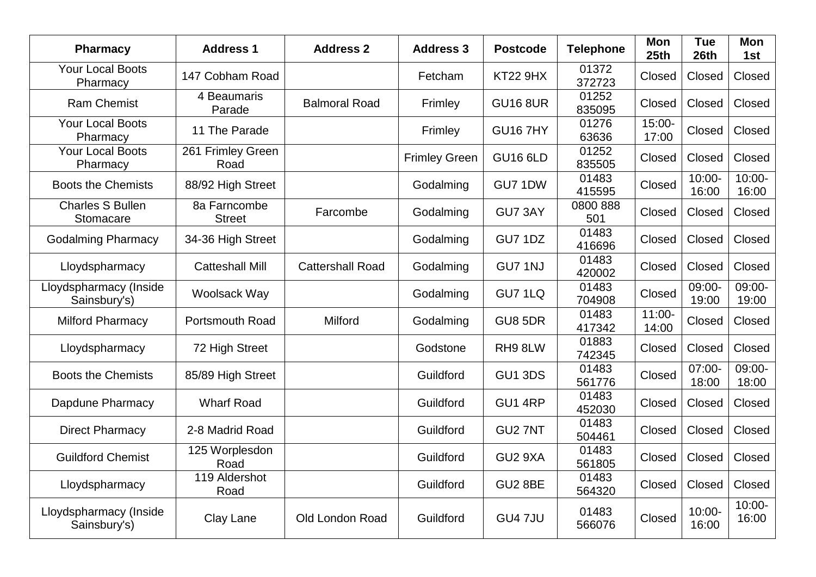| <b>Pharmacy</b>                        | <b>Address 1</b>              | <b>Address 2</b>        | <b>Address 3</b>     | <b>Postcode</b>     | <b>Telephone</b> | <b>Mon</b><br>25th | <b>Tue</b><br>26th            | Mon<br>1st         |
|----------------------------------------|-------------------------------|-------------------------|----------------------|---------------------|------------------|--------------------|-------------------------------|--------------------|
| <b>Your Local Boots</b><br>Pharmacy    | 147 Cobham Road               |                         | Fetcham              | <b>KT22 9HX</b>     | 01372<br>372723  | Closed             | Closed                        | Closed             |
| <b>Ram Chemist</b>                     | 4 Beaumaris<br>Parade         | <b>Balmoral Road</b>    | Frimley              | <b>GU16 8UR</b>     | 01252<br>835095  | Closed             | Closed                        | Closed             |
| <b>Your Local Boots</b><br>Pharmacy    | 11 The Parade                 |                         | Frimley              | <b>GU16 7HY</b>     | 01276<br>63636   | 15:00-<br>17:00    | Closed                        | Closed             |
| <b>Your Local Boots</b><br>Pharmacy    | 261 Frimley Green<br>Road     |                         | <b>Frimley Green</b> | <b>GU16 6LD</b>     | 01252<br>835505  | Closed             | Closed                        | Closed             |
| <b>Boots the Chemists</b>              | 88/92 High Street             |                         | Godalming            | GU7 1DW             | 01483<br>415595  | Closed             | $10:00 -$<br>16:00            | $10:00 -$<br>16:00 |
| <b>Charles S Bullen</b><br>Stomacare   | 8a Farncombe<br><b>Street</b> | Farcombe                | Godalming            | GU7 3AY             | 0800 888<br>501  | Closed             | Closed                        | Closed             |
| <b>Godalming Pharmacy</b>              | 34-36 High Street             |                         | Godalming            | <b>GU7 1DZ</b>      | 01483<br>416696  | Closed             | Closed                        | Closed             |
| Lloydspharmacy                         | <b>Catteshall Mill</b>        | <b>Cattershall Road</b> | Godalming            | GU7 1NJ             | 01483<br>420002  | Closed             | Closed                        | Closed             |
| Lloydspharmacy (Inside<br>Sainsbury's) | Woolsack Way                  |                         | Godalming            | GU7 1LQ             | 01483<br>704908  | Closed             | 09:00-<br>19:00               | 09:00-<br>19:00    |
| <b>Milford Pharmacy</b>                | Portsmouth Road               | Milford                 | Godalming            | <b>GU8 5DR</b>      | 01483<br>417342  | $11:00 -$<br>14:00 | Closed                        | Closed             |
| Lloydspharmacy                         | 72 High Street                |                         | Godstone             | RH98LW              | 01883<br>742345  | Closed             | Closed                        | Closed             |
| <b>Boots the Chemists</b>              | 85/89 High Street             |                         | Guildford            | <b>GU1 3DS</b>      | 01483<br>561776  | Closed             | $\overline{07:00}$ -<br>18:00 | 09:00-<br>18:00    |
| Dapdune Pharmacy                       | <b>Wharf Road</b>             |                         | Guildford            | GU1 4RP             | 01483<br>452030  | Closed             | Closed                        | Closed             |
| <b>Direct Pharmacy</b>                 | 2-8 Madrid Road               |                         | Guildford            | GU <sub>2</sub> 7NT | 01483<br>504461  | Closed             | Closed                        | Closed             |
| <b>Guildford Chemist</b>               | 125 Worplesdon<br>Road        |                         | Guildford            | GU <sub>2</sub> 9XA | 01483<br>561805  | Closed             | Closed                        | Closed             |
| Lloydspharmacy                         | 119 Aldershot<br>Road         |                         | Guildford            | <b>GU2 8BE</b>      | 01483<br>564320  | Closed             | Closed                        | Closed             |
| Lloydspharmacy (Inside<br>Sainsbury's) | Clay Lane                     | Old London Road         | Guildford            | <b>GU4 7JU</b>      | 01483<br>566076  | Closed             | $10:00 -$<br>16:00            | $10:00 -$<br>16:00 |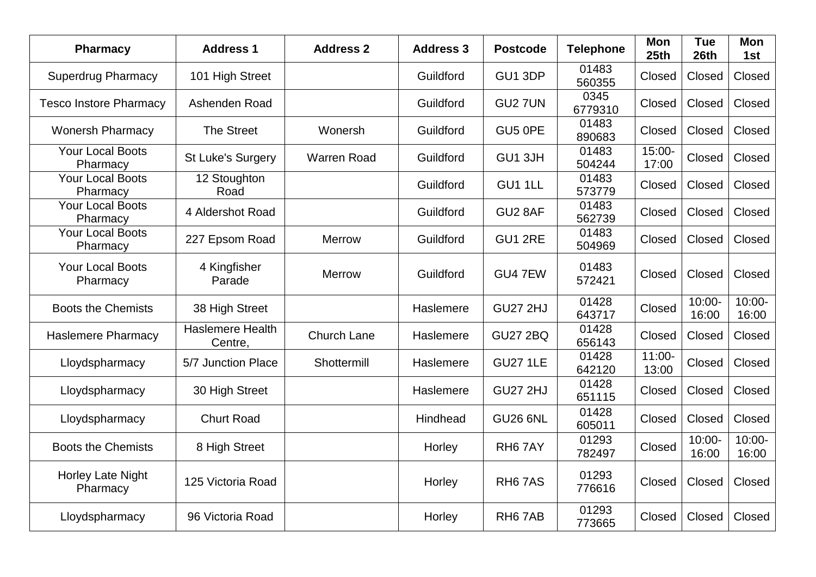| <b>Pharmacy</b>                     | <b>Address 1</b>                   | <b>Address 2</b>   | <b>Address 3</b> | <b>Postcode</b>     | <b>Telephone</b> | Mon<br>25th        | <b>Tue</b><br>26th | <b>Mon</b><br>1st  |
|-------------------------------------|------------------------------------|--------------------|------------------|---------------------|------------------|--------------------|--------------------|--------------------|
| <b>Superdrug Pharmacy</b>           | 101 High Street                    |                    | Guildford        | GU1 3DP             | 01483<br>560355  | Closed             | Closed             | Closed             |
| <b>Tesco Instore Pharmacy</b>       | Ashenden Road                      |                    | Guildford        | GU2 7UN             | 0345<br>6779310  | Closed             | Closed             | Closed             |
| <b>Wonersh Pharmacy</b>             | <b>The Street</b>                  | Wonersh            | Guildford        | GU5 OPE             | 01483<br>890683  | Closed             | Closed             | Closed             |
| <b>Your Local Boots</b><br>Pharmacy | <b>St Luke's Surgery</b>           | <b>Warren Road</b> | Guildford        | GU1 3JH             | 01483<br>504244  | 15:00-<br>17:00    | Closed             | Closed             |
| <b>Your Local Boots</b><br>Pharmacy | 12 Stoughton<br>Road               |                    | Guildford        | GU1 1LL             | 01483<br>573779  | Closed             | Closed             | Closed             |
| <b>Your Local Boots</b><br>Pharmacy | 4 Aldershot Road                   |                    | Guildford        | GU2 8AF             | 01483<br>562739  | Closed             | Closed             | Closed             |
| <b>Your Local Boots</b><br>Pharmacy | 227 Epsom Road                     | <b>Merrow</b>      | Guildford        | <b>GU1 2RE</b>      | 01483<br>504969  | Closed             | Closed             | Closed             |
| <b>Your Local Boots</b><br>Pharmacy | 4 Kingfisher<br>Parade             | <b>Merrow</b>      | Guildford        | GU4 7EW             | 01483<br>572421  | Closed             | Closed             | Closed             |
| <b>Boots the Chemists</b>           | 38 High Street                     |                    | Haslemere        | <b>GU27 2HJ</b>     | 01428<br>643717  | Closed             | $10:00 -$<br>16:00 | $10:00 -$<br>16:00 |
| <b>Haslemere Pharmacy</b>           | <b>Haslemere Health</b><br>Centre, | Church Lane        | Haslemere        | <b>GU27 2BQ</b>     | 01428<br>656143  | Closed             | Closed             | Closed             |
| Lloydspharmacy                      | 5/7 Junction Place                 | Shottermill        | Haslemere        | <b>GU27 1LE</b>     | 01428<br>642120  | $11:00 -$<br>13:00 | Closed             | Closed             |
| Lloydspharmacy                      | 30 High Street                     |                    | Haslemere        | <b>GU27 2HJ</b>     | 01428<br>651115  | Closed             | Closed             | Closed             |
| Lloydspharmacy                      | <b>Churt Road</b>                  |                    | Hindhead         | <b>GU26 6NL</b>     | 01428<br>605011  | Closed             | Closed             | Closed             |
| <b>Boots the Chemists</b>           | 8 High Street                      |                    | Horley           | RH <sub>6</sub> 7AY | 01293<br>782497  | Closed             | $10:00 -$<br>16:00 | $10:00 -$<br>16:00 |
| Horley Late Night<br>Pharmacy       | 125 Victoria Road                  |                    | Horley           | RH <sub>6</sub> 7AS | 01293<br>776616  | Closed             | Closed             | Closed             |
| Lloydspharmacy                      | 96 Victoria Road                   |                    | Horley           | RH <sub>6</sub> 7AB | 01293<br>773665  | Closed             | Closed             | Closed             |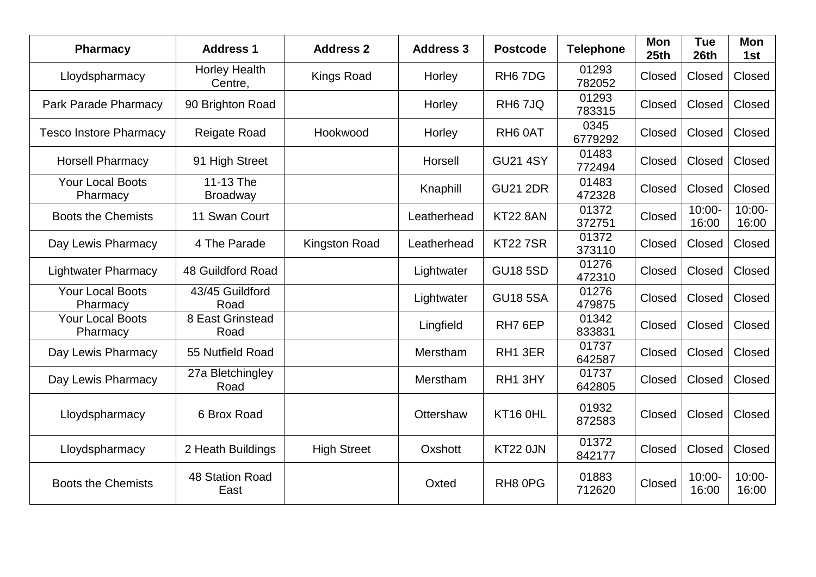| <b>Pharmacy</b>                     | <b>Address 1</b>                | <b>Address 2</b>     | <b>Address 3</b> | <b>Postcode</b>                 | <b>Telephone</b> | Mon<br>25th | <b>Tue</b><br>26th | Mon<br>1st         |
|-------------------------------------|---------------------------------|----------------------|------------------|---------------------------------|------------------|-------------|--------------------|--------------------|
| Lloydspharmacy                      | <b>Horley Health</b><br>Centre, | <b>Kings Road</b>    | Horley           | RH <sub>6</sub> 7D <sub>G</sub> | 01293<br>782052  | Closed      | Closed             | Closed             |
| <b>Park Parade Pharmacy</b>         | 90 Brighton Road                |                      | Horley           | RH <sub>6</sub> 7JQ             | 01293<br>783315  | Closed      | Closed             | Closed             |
| <b>Tesco Instore Pharmacy</b>       | Reigate Road                    | Hookwood             | Horley           | RH <sub>6</sub> 0AT             | 0345<br>6779292  | Closed      | Closed             | Closed             |
| <b>Horsell Pharmacy</b>             | 91 High Street                  |                      | Horsell          | <b>GU21 4SY</b>                 | 01483<br>772494  | Closed      | Closed             | Closed             |
| <b>Your Local Boots</b><br>Pharmacy | 11-13 The<br><b>Broadway</b>    |                      | Knaphill         | <b>GU21 2DR</b>                 | 01483<br>472328  | Closed      | Closed             | Closed             |
| <b>Boots the Chemists</b>           | 11 Swan Court                   |                      | Leatherhead      | <b>KT22 8AN</b>                 | 01372<br>372751  | Closed      | $10:00 -$<br>16:00 | $10:00 -$<br>16:00 |
| Day Lewis Pharmacy                  | 4 The Parade                    | <b>Kingston Road</b> | Leatherhead      | <b>KT227SR</b>                  | 01372<br>373110  | Closed      | Closed             | Closed             |
| <b>Lightwater Pharmacy</b>          | 48 Guildford Road               |                      | Lightwater       | <b>GU18 5SD</b>                 | 01276<br>472310  | Closed      | Closed             | Closed             |
| <b>Your Local Boots</b><br>Pharmacy | 43/45 Guildford<br>Road         |                      | Lightwater       | <b>GU18 5SA</b>                 | 01276<br>479875  | Closed      | Closed             | Closed             |
| <b>Your Local Boots</b><br>Pharmacy | 8 East Grinstead<br>Road        |                      | Lingfield        | RH7 6EP                         | 01342<br>833831  | Closed      | Closed             | Closed             |
| Day Lewis Pharmacy                  | 55 Nutfield Road                |                      | Merstham         | RH1 3ER                         | 01737<br>642587  | Closed      | Closed             | Closed             |
| Day Lewis Pharmacy                  | 27a Bletchingley<br>Road        |                      | Merstham         | RH1 3HY                         | 01737<br>642805  | Closed      | Closed             | Closed             |
| Lloydspharmacy                      | 6 Brox Road                     |                      | Ottershaw        | KT16 OHL                        | 01932<br>872583  | Closed      | Closed             | Closed             |
| Lloydspharmacy                      | 2 Heath Buildings               | <b>High Street</b>   | Oxshott          | <b>KT22 0JN</b>                 | 01372<br>842177  | Closed      | Closed             | Closed             |
| <b>Boots the Chemists</b>           | 48 Station Road<br>East         |                      | Oxted            | RH8 0PG                         | 01883<br>712620  | Closed      | $10:00 -$<br>16:00 | $10:00 -$<br>16:00 |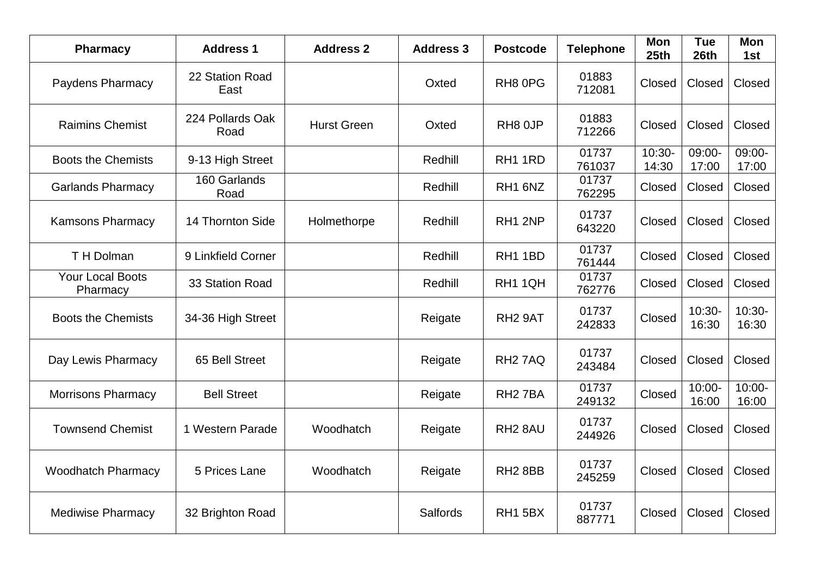| <b>Pharmacy</b>                     | <b>Address 1</b>         | <b>Address 2</b>   | <b>Address 3</b> | <b>Postcode</b>     | <b>Telephone</b> | <b>Mon</b><br>25 <sub>th</sub> | <b>Tue</b><br>26th | <b>Mon</b><br>1st            |
|-------------------------------------|--------------------------|--------------------|------------------|---------------------|------------------|--------------------------------|--------------------|------------------------------|
| Paydens Pharmacy                    | 22 Station Road<br>East  |                    | Oxted            | RH8 0PG             | 01883<br>712081  | Closed                         | Closed             | Closed                       |
| <b>Raimins Chemist</b>              | 224 Pollards Oak<br>Road | <b>Hurst Green</b> | Oxted            | RH8 0JP             | 01883<br>712266  | Closed                         | Closed             | Closed                       |
| <b>Boots the Chemists</b>           | 9-13 High Street         |                    | Redhill          | RH1 1RD             | 01737<br>761037  | $10:30-$<br>14:30              | 09:00-<br>17:00    | 09:00-<br>17:00              |
| <b>Garlands Pharmacy</b>            | 160 Garlands<br>Road     |                    | Redhill          | RH1 6NZ             | 01737<br>762295  | Closed                         | Closed             | Closed                       |
| <b>Kamsons Pharmacy</b>             | 14 Thornton Side         | Holmethorpe        | Redhill          | RH1 2NP             | 01737<br>643220  | Closed                         | Closed             | Closed                       |
| T H Dolman                          | 9 Linkfield Corner       |                    | Redhill          | RH <sub>1</sub> 1BD | 01737<br>761444  | Closed                         | Closed             | Closed                       |
| <b>Your Local Boots</b><br>Pharmacy | 33 Station Road          |                    | Redhill          | RH1 1QH             | 01737<br>762776  | Closed                         | Closed             | Closed                       |
| <b>Boots the Chemists</b>           | 34-36 High Street        |                    | Reigate          | RH <sub>2</sub> 9AT | 01737<br>242833  | Closed                         | $10:30-$<br>16:30  | $10:30-$<br>16:30            |
| Day Lewis Pharmacy                  | 65 Bell Street           |                    | Reigate          | RH <sub>2</sub> 7AQ | 01737<br>243484  | Closed                         | Closed             | Closed                       |
| <b>Morrisons Pharmacy</b>           | <b>Bell Street</b>       |                    | Reigate          | RH <sub>2</sub> 7BA | 01737<br>249132  | Closed                         | $10:00 -$<br>16:00 | $\overline{1}0:00-$<br>16:00 |
| <b>Townsend Chemist</b>             | 1 Western Parade         | Woodhatch          | Reigate          | RH <sub>2</sub> 8AU | 01737<br>244926  | Closed                         | Closed             | Closed                       |
| <b>Woodhatch Pharmacy</b>           | 5 Prices Lane            | Woodhatch          | Reigate          | RH <sub>2</sub> 8BB | 01737<br>245259  | Closed                         | Closed             | Closed                       |
| <b>Mediwise Pharmacy</b>            | 32 Brighton Road         |                    | Salfords         | <b>RH1 5BX</b>      | 01737<br>887771  | Closed                         | Closed             | Closed                       |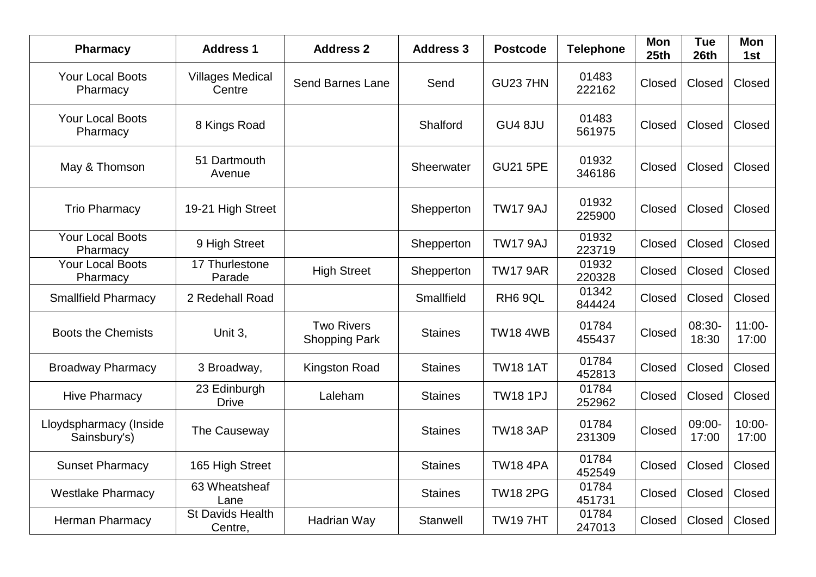| <b>Pharmacy</b>                        | <b>Address 1</b>                   | <b>Address 2</b>                          | <b>Address 3</b> | <b>Postcode</b>     | <b>Telephone</b> | <b>Mon</b><br>25th | <b>Tue</b><br>26th | <b>Mon</b><br>1st  |
|----------------------------------------|------------------------------------|-------------------------------------------|------------------|---------------------|------------------|--------------------|--------------------|--------------------|
| <b>Your Local Boots</b><br>Pharmacy    | <b>Villages Medical</b><br>Centre  | <b>Send Barnes Lane</b>                   | Send             | <b>GU23 7HN</b>     | 01483<br>222162  | Closed             | Closed             | Closed             |
| <b>Your Local Boots</b><br>Pharmacy    | 8 Kings Road                       |                                           | Shalford         | GU4 8JU             | 01483<br>561975  | Closed             | Closed             | Closed             |
| May & Thomson                          | 51 Dartmouth<br>Avenue             |                                           | Sheerwater       | <b>GU21 5PE</b>     | 01932<br>346186  | Closed             | Closed             | Closed             |
| <b>Trio Pharmacy</b>                   | 19-21 High Street                  |                                           | Shepperton       | <b>TW17 9AJ</b>     | 01932<br>225900  | Closed             | Closed             | Closed             |
| <b>Your Local Boots</b><br>Pharmacy    | 9 High Street                      |                                           | Shepperton       | <b>TW17 9AJ</b>     | 01932<br>223719  | Closed             | Closed             | Closed             |
| <b>Your Local Boots</b><br>Pharmacy    | 17 Thurlestone<br>Parade           | <b>High Street</b>                        | Shepperton       | <b>TW17 9AR</b>     | 01932<br>220328  | Closed             | Closed             | Closed             |
| <b>Smallfield Pharmacy</b>             | 2 Redehall Road                    |                                           | Smallfield       | RH <sub>6</sub> 9QL | 01342<br>844424  | Closed             | Closed             | Closed             |
| <b>Boots the Chemists</b>              | Unit 3,                            | <b>Two Rivers</b><br><b>Shopping Park</b> | <b>Staines</b>   | <b>TW18 4WB</b>     | 01784<br>455437  | Closed             | 08:30-<br>18:30    | $11:00 -$<br>17:00 |
| <b>Broadway Pharmacy</b>               | 3 Broadway,                        | <b>Kingston Road</b>                      | <b>Staines</b>   | <b>TW18 1AT</b>     | 01784<br>452813  | Closed             | Closed             | Closed             |
| <b>Hive Pharmacy</b>                   | 23 Edinburgh<br><b>Drive</b>       | Laleham                                   | <b>Staines</b>   | <b>TW18 1PJ</b>     | 01784<br>252962  | Closed             | Closed             | Closed             |
| Lloydspharmacy (Inside<br>Sainsbury's) | The Causeway                       |                                           | <b>Staines</b>   | <b>TW18 3AP</b>     | 01784<br>231309  | Closed             | 09:00-<br>17:00    | $10:00 -$<br>17:00 |
| <b>Sunset Pharmacy</b>                 | 165 High Street                    |                                           | <b>Staines</b>   | <b>TW18 4PA</b>     | 01784<br>452549  | Closed             | Closed             | Closed             |
| <b>Westlake Pharmacy</b>               | 63 Wheatsheaf<br>Lane              |                                           | <b>Staines</b>   | <b>TW18 2PG</b>     | 01784<br>451731  | Closed             | Closed             | Closed             |
| Herman Pharmacy                        | <b>St Davids Health</b><br>Centre, | Hadrian Way                               | Stanwell         | <b>TW197HT</b>      | 01784<br>247013  | Closed             | Closed             | Closed             |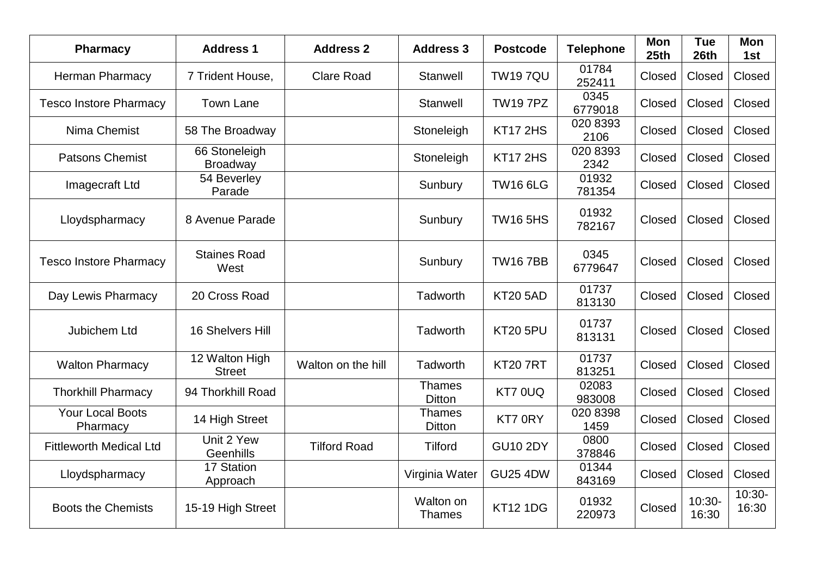| <b>Pharmacy</b>                     | <b>Address 1</b>                 | <b>Address 2</b>    | <b>Address 3</b>               | <b>Postcode</b> | <b>Telephone</b> | <b>Mon</b><br>25th | <b>Tue</b><br>26th | Mon<br>1st        |
|-------------------------------------|----------------------------------|---------------------|--------------------------------|-----------------|------------------|--------------------|--------------------|-------------------|
| Herman Pharmacy                     | 7 Trident House,                 | <b>Clare Road</b>   | Stanwell                       | <b>TW197QU</b>  | 01784<br>252411  | Closed             | Closed             | Closed            |
| <b>Tesco Instore Pharmacy</b>       | <b>Town Lane</b>                 |                     | Stanwell                       | <b>TW197PZ</b>  | 0345<br>6779018  | Closed             | Closed             | Closed            |
| Nima Chemist                        | 58 The Broadway                  |                     | Stoneleigh                     | <b>KT17 2HS</b> | 020 8393<br>2106 | Closed             | Closed             | Closed            |
| <b>Patsons Chemist</b>              | 66 Stoneleigh<br><b>Broadway</b> |                     | Stoneleigh                     | <b>KT17 2HS</b> | 020 8393<br>2342 | Closed             | Closed             | Closed            |
| Imagecraft Ltd                      | 54 Beverley<br>Parade            |                     | Sunbury                        | <b>TW16 6LG</b> | 01932<br>781354  | Closed             | Closed             | Closed            |
| Lloydspharmacy                      | 8 Avenue Parade                  |                     | Sunbury                        | <b>TW16 5HS</b> | 01932<br>782167  | Closed             | Closed             | Closed            |
| <b>Tesco Instore Pharmacy</b>       | <b>Staines Road</b><br>West      |                     | Sunbury                        | <b>TW167BB</b>  | 0345<br>6779647  | Closed             | Closed             | Closed            |
| Day Lewis Pharmacy                  | 20 Cross Road                    |                     | Tadworth                       | <b>KT20 5AD</b> | 01737<br>813130  | Closed             | Closed             | Closed            |
| Jubichem Ltd                        | 16 Shelvers Hill                 |                     | Tadworth                       | <b>KT20 5PU</b> | 01737<br>813131  | Closed             | Closed             | Closed            |
| <b>Walton Pharmacy</b>              | 12 Walton High<br><b>Street</b>  | Walton on the hill  | Tadworth                       | <b>KT20 7RT</b> | 01737<br>813251  | Closed             | Closed             | Closed            |
| <b>Thorkhill Pharmacy</b>           | 94 Thorkhill Road                |                     | <b>Thames</b><br><b>Ditton</b> | KT7 0UQ         | 02083<br>983008  | Closed             | Closed             | Closed            |
| <b>Your Local Boots</b><br>Pharmacy | 14 High Street                   |                     | <b>Thames</b><br>Ditton        | KT7 0RY         | 020 8398<br>1459 | Closed             | Closed             | Closed            |
| <b>Fittleworth Medical Ltd</b>      | Unit 2 Yew<br>Geenhills          | <b>Tilford Road</b> | <b>Tilford</b>                 | <b>GU10 2DY</b> | 0800<br>378846   | Closed             | Closed             | Closed            |
| Lloydspharmacy                      | 17 Station<br>Approach           |                     | Virginia Water                 | <b>GU25 4DW</b> | 01344<br>843169  | Closed             | Closed             | Closed            |
| <b>Boots the Chemists</b>           | 15-19 High Street                |                     | Walton on<br><b>Thames</b>     | <b>KT12 1DG</b> | 01932<br>220973  | Closed             | $10:30-$<br>16:30  | $10:30-$<br>16:30 |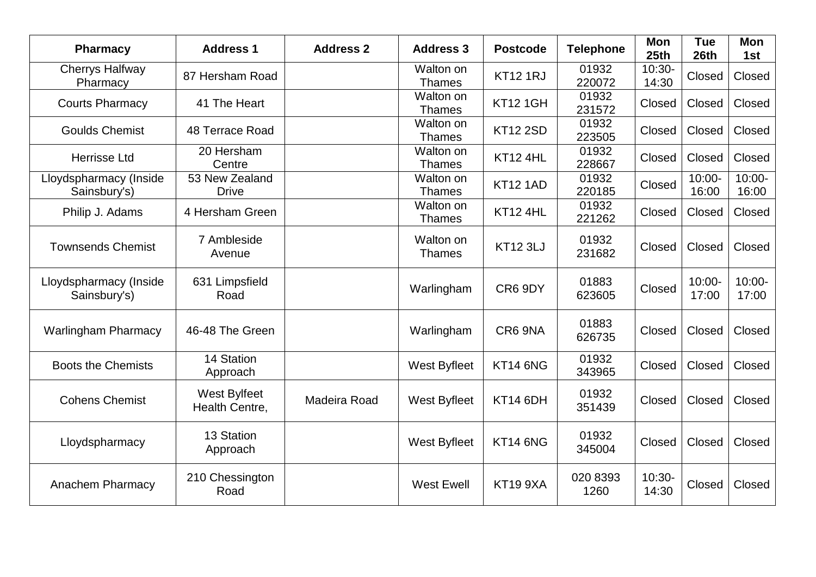| <b>Pharmacy</b>                        | <b>Address 1</b>               | <b>Address 2</b> | <b>Address 3</b>           | <b>Postcode</b> | <b>Telephone</b> | Mon<br>25th       | <b>Tue</b><br>26th | Mon<br>1st         |
|----------------------------------------|--------------------------------|------------------|----------------------------|-----------------|------------------|-------------------|--------------------|--------------------|
| <b>Cherrys Halfway</b><br>Pharmacy     | 87 Hersham Road                |                  | Walton on<br><b>Thames</b> | <b>KT12 1RJ</b> | 01932<br>220072  | $10:30-$<br>14:30 | Closed             | Closed             |
| <b>Courts Pharmacy</b>                 | 41 The Heart                   |                  | Walton on<br><b>Thames</b> | <b>KT12 1GH</b> | 01932<br>231572  | Closed            | Closed             | Closed             |
| <b>Goulds Chemist</b>                  | 48 Terrace Road                |                  | Walton on<br><b>Thames</b> | <b>KT12 2SD</b> | 01932<br>223505  | Closed            | Closed             | Closed             |
| <b>Herrisse Ltd</b>                    | 20 Hersham<br>Centre           |                  | Walton on<br><b>Thames</b> | KT12 4HL        | 01932<br>228667  | Closed            | Closed             | Closed             |
| Lloydspharmacy (Inside<br>Sainsbury's) | 53 New Zealand<br><b>Drive</b> |                  | Walton on<br><b>Thames</b> | <b>KT12 1AD</b> | 01932<br>220185  | Closed            | $10:00 -$<br>16:00 | $10:00 -$<br>16:00 |
| Philip J. Adams                        | 4 Hersham Green                |                  | Walton on<br><b>Thames</b> | <b>KT12 4HL</b> | 01932<br>221262  | Closed            | Closed             | Closed             |
| <b>Townsends Chemist</b>               | 7 Ambleside<br>Avenue          |                  | Walton on<br><b>Thames</b> | <b>KT12 3LJ</b> | 01932<br>231682  | Closed            | Closed             | Closed             |
| Lloydspharmacy (Inside<br>Sainsbury's) | 631 Limpsfield<br>Road         |                  | Warlingham                 | CR6 9DY         | 01883<br>623605  | Closed            | $10:00 -$<br>17:00 | $10:00 -$<br>17:00 |
| <b>Warlingham Pharmacy</b>             | 46-48 The Green                |                  | Warlingham                 | CR6 9NA         | 01883<br>626735  | Closed            | Closed             | Closed             |
| <b>Boots the Chemists</b>              | 14 Station<br>Approach         |                  | <b>West Byfleet</b>        | <b>KT14 6NG</b> | 01932<br>343965  | Closed            | Closed             | Closed             |
| <b>Cohens Chemist</b>                  | West Bylfeet<br>Health Centre, | Madeira Road     | <b>West Byfleet</b>        | <b>KT14 6DH</b> | 01932<br>351439  | Closed            | Closed             | Closed             |
| Lloydspharmacy                         | 13 Station<br>Approach         |                  | <b>West Byfleet</b>        | KT14 6NG        | 01932<br>345004  | Closed            | Closed             | Closed             |
| Anachem Pharmacy                       | 210 Chessington<br>Road        |                  | <b>West Ewell</b>          | <b>KT19 9XA</b> | 020 8393<br>1260 | $10:30-$<br>14:30 | Closed             | Closed             |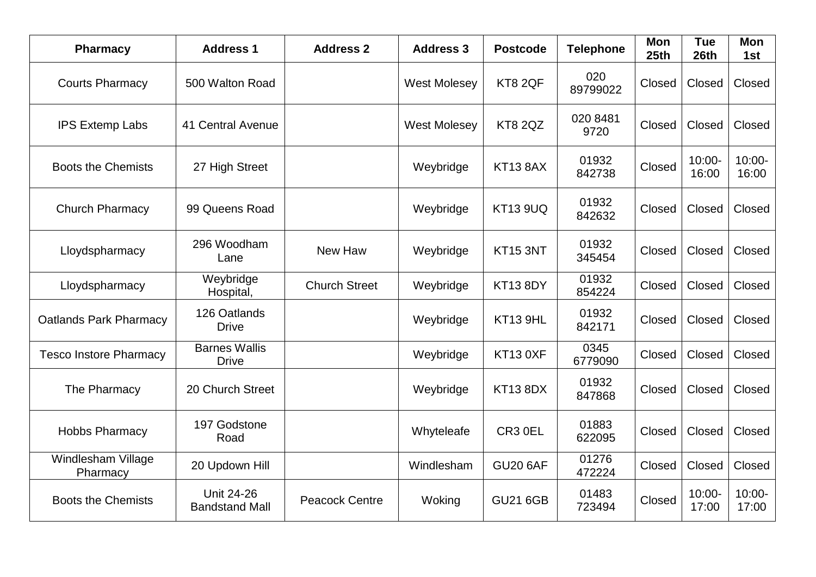| <b>Pharmacy</b>                | <b>Address 1</b>                           | <b>Address 2</b>      | <b>Address 3</b>    | <b>Postcode</b> | <b>Telephone</b> | Mon<br>25 <sub>th</sub> | <b>Tue</b><br>26th | Mon<br>1st         |
|--------------------------------|--------------------------------------------|-----------------------|---------------------|-----------------|------------------|-------------------------|--------------------|--------------------|
| <b>Courts Pharmacy</b>         | 500 Walton Road                            |                       | <b>West Molesey</b> | KT8 2QF         | 020<br>89799022  | Closed                  | Closed             | Closed             |
| <b>IPS Extemp Labs</b>         | 41 Central Avenue                          |                       | <b>West Molesey</b> | <b>KT8 2QZ</b>  | 020 8481<br>9720 | Closed                  | Closed             | Closed             |
| <b>Boots the Chemists</b>      | 27 High Street                             |                       | Weybridge           | <b>KT13 8AX</b> | 01932<br>842738  | Closed                  | $10:00 -$<br>16:00 | $10:00 -$<br>16:00 |
| <b>Church Pharmacy</b>         | 99 Queens Road                             |                       | Weybridge           | <b>KT13 9UQ</b> | 01932<br>842632  | Closed                  | Closed             | Closed             |
| Lloydspharmacy                 | 296 Woodham<br>Lane                        | New Haw               | Weybridge           | <b>KT15 3NT</b> | 01932<br>345454  | Closed                  | Closed             | Closed             |
| Lloydspharmacy                 | Weybridge<br>Hospital,                     | <b>Church Street</b>  | Weybridge           | <b>KT13 8DY</b> | 01932<br>854224  | Closed                  | Closed             | Closed             |
| <b>Oatlands Park Pharmacy</b>  | 126 Oatlands<br><b>Drive</b>               |                       | Weybridge           | KT13 9HL        | 01932<br>842171  | Closed                  | Closed             | Closed             |
| <b>Tesco Instore Pharmacy</b>  | <b>Barnes Wallis</b><br><b>Drive</b>       |                       | Weybridge           | <b>KT13 0XF</b> | 0345<br>6779090  | Closed                  | Closed             | Closed             |
| The Pharmacy                   | 20 Church Street                           |                       | Weybridge           | <b>KT13 8DX</b> | 01932<br>847868  | Closed                  | Closed             | Closed             |
| <b>Hobbs Pharmacy</b>          | 197 Godstone<br>Road                       |                       | Whyteleafe          | CR3 0EL         | 01883<br>622095  | Closed                  | Closed             | Closed             |
| Windlesham Village<br>Pharmacy | 20 Updown Hill                             |                       | Windlesham          | <b>GU20 6AF</b> | 01276<br>472224  | Closed                  | Closed             | Closed             |
| <b>Boots the Chemists</b>      | <b>Unit 24-26</b><br><b>Bandstand Mall</b> | <b>Peacock Centre</b> | Woking              | <b>GU21 6GB</b> | 01483<br>723494  | Closed                  | $10:00 -$<br>17:00 | $10:00 -$<br>17:00 |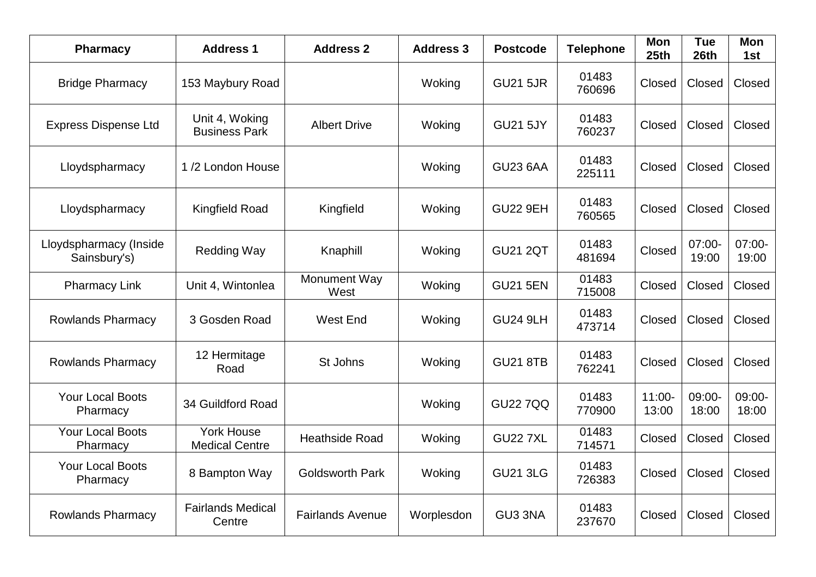| <b>Pharmacy</b>                        | <b>Address 1</b>                           | <b>Address 2</b>        | <b>Address 3</b> | <b>Postcode</b> | <b>Telephone</b> | <b>Mon</b><br>25th | <b>Tue</b><br>26th | <b>Mon</b><br>1st |
|----------------------------------------|--------------------------------------------|-------------------------|------------------|-----------------|------------------|--------------------|--------------------|-------------------|
| <b>Bridge Pharmacy</b>                 | 153 Maybury Road                           |                         | Woking           | <b>GU21 5JR</b> | 01483<br>760696  | Closed             | Closed             | Closed            |
| <b>Express Dispense Ltd</b>            | Unit 4, Woking<br><b>Business Park</b>     | <b>Albert Drive</b>     | Woking           | <b>GU21 5JY</b> | 01483<br>760237  | Closed             | Closed             | Closed            |
| Lloydspharmacy                         | 1/2 London House                           |                         | Woking           | <b>GU23 6AA</b> | 01483<br>225111  | Closed             | Closed             | Closed            |
| Lloydspharmacy                         | <b>Kingfield Road</b>                      | Kingfield               | Woking           | <b>GU22 9EH</b> | 01483<br>760565  | Closed             | Closed             | Closed            |
| Lloydspharmacy (Inside<br>Sainsbury's) | <b>Redding Way</b>                         | Knaphill                | Woking           | <b>GU21 2QT</b> | 01483<br>481694  | Closed             | $07:00-$<br>19:00  | $07:00-$<br>19:00 |
| <b>Pharmacy Link</b>                   | Unit 4, Wintonlea                          | Monument Way<br>West    | Woking           | <b>GU21 5EN</b> | 01483<br>715008  | Closed             | Closed             | Closed            |
| <b>Rowlands Pharmacy</b>               | 3 Gosden Road                              | <b>West End</b>         | Woking           | <b>GU24 9LH</b> | 01483<br>473714  | Closed             | Closed             | Closed            |
| <b>Rowlands Pharmacy</b>               | 12 Hermitage<br>Road                       | St Johns                | Woking           | <b>GU21 8TB</b> | 01483<br>762241  | Closed             | Closed             | Closed            |
| <b>Your Local Boots</b><br>Pharmacy    | 34 Guildford Road                          |                         | Woking           | <b>GU22 7QQ</b> | 01483<br>770900  | $11:00 -$<br>13:00 | 09:00-<br>18:00    | 09:00-<br>18:00   |
| <b>Your Local Boots</b><br>Pharmacy    | <b>York House</b><br><b>Medical Centre</b> | <b>Heathside Road</b>   | Woking           | <b>GU22 7XL</b> | 01483<br>714571  | Closed             | Closed             | Closed            |
| Your Local Boots<br>Pharmacy           | 8 Bampton Way                              | <b>Goldsworth Park</b>  | Woking           | <b>GU21 3LG</b> | 01483<br>726383  | Closed             | Closed             | Closed            |
| <b>Rowlands Pharmacy</b>               | <b>Fairlands Medical</b><br>Centre         | <b>Fairlands Avenue</b> | Worplesdon       | GU3 3NA         | 01483<br>237670  | Closed             | Closed             | Closed            |